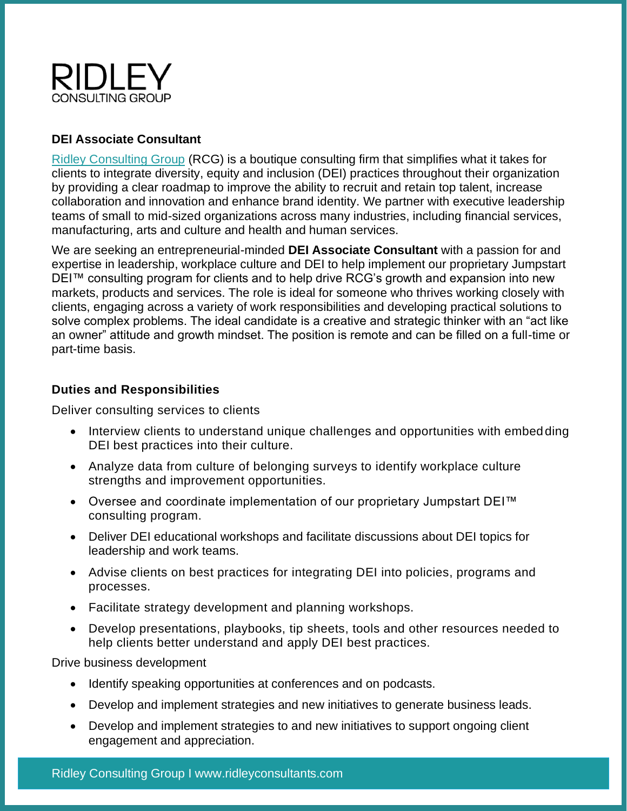

# **DEI Associate Consultant**

[Ridley Consulting Group](https://ridleyconsultants.com/) (RCG) is a boutique consulting firm that simplifies what it takes for clients to integrate diversity, equity and inclusion (DEI) practices throughout their organization by providing a clear roadmap to improve the ability to recruit and retain top talent, increase collaboration and innovation and enhance brand identity. We partner with executive leadership teams of small to mid-sized organizations across many industries, including financial services, manufacturing, arts and culture and health and human services.

We are seeking an entrepreneurial-minded **DEI Associate Consultant** with a passion for and expertise in leadership, workplace culture and DEI to help implement our proprietary Jumpstart DEI™ consulting program for clients and to help drive RCG's growth and expansion into new markets, products and services. The role is ideal for someone who thrives working closely with clients, engaging across a variety of work responsibilities and developing practical solutions to solve complex problems. The ideal candidate is a creative and strategic thinker with an "act like an owner" attitude and growth mindset. The position is remote and can be filled on a full-time or part-time basis.

#### **Duties and Responsibilities**

Deliver consulting services to clients

- Interview clients to understand unique challenges and opportunities with embedding DEI best practices into their culture.
- Analyze data from culture of belonging surveys to identify workplace culture strengths and improvement opportunities.
- Oversee and coordinate implementation of our proprietary Jumpstart DEI™ consulting program.
- Deliver DEI educational workshops and facilitate discussions about DEI topics for leadership and work teams.
- Advise clients on best practices for integrating DEI into policies, programs and processes.
- Facilitate strategy development and planning workshops.
- Develop presentations, playbooks, tip sheets, tools and other resources needed to help clients better understand and apply DEI best practices.

Drive business development

- Identify speaking opportunities at conferences and on podcasts.
- Develop and implement strategies and new initiatives to generate business leads.
- Develop and implement strategies to and new initiatives to support ongoing client engagement and appreciation.